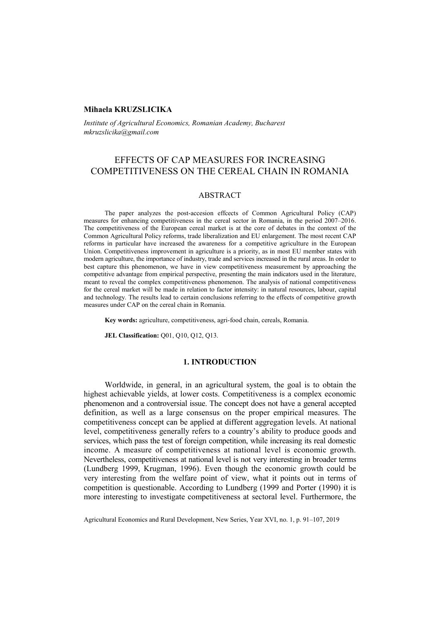#### **Mihaela KRUZSLICIKA**

*Institute of Agricultural Economics, Romanian Academy, Bucharest mkruzslicika@gmail.com* 

## EFFECTS OF CAP MEASURES FOR INCREASING COMPETITIVENESS ON THE CEREAL CHAIN IN ROMANIA

#### ABSTRACT

The paper analyzes the post-accesion effcects of Common Agricultural Policy (CAP) measures for enhancing competitiveness in the cereal sector in Romania, in the period 2007–2016. The competitiveness of the European cereal market is at the core of debates in the context of the Common Agricultural Policy reforms, trade liberalization and EU enlargement. The most recent CAP reforms in particular have increased the awareness for a competitive agriculture in the European Union. Competitiveness improvement in agriculture is a priority, as in most EU member states with modern agriculture, the importance of industry, trade and services increased in the rural areas. In order to best capture this phenomenon, we have in view competitiveness measurement by approaching the competitive advantage from empirical perspective, presenting the main indicators used in the literature, meant to reveal the complex competitiveness phenomenon. The analysis of national competitiveness for the cereal market will be made in relation to factor intensity: in natural resources, labour, capital and technology. The results lead to certain conclusions referring to the effects of competitive growth measures under CAP on the cereal chain in Romania.

**Key words:** agriculture, competitiveness, agri-food chain, cereals, Romania.

**JEL Classification:** Q01, Q10, Q12, Q13.

## **1. INTRODUCTION**

Worldwide, in general, in an agricultural system, the goal is to obtain the highest achievable yields, at lower costs. Competitiveness is a complex economic phenomenon and a controversial issue. The concept does not have a general accepted definition, as well as a large consensus on the proper empirical measures. The competitiveness concept can be applied at different aggregation levels. At national level, competitiveness generally refers to a country's ability to produce goods and services, which pass the test of foreign competition, while increasing its real domestic income. A measure of competitiveness at national level is economic growth. Nevertheless, competitiveness at national level is not very interesting in broader terms (Lundberg 1999, Krugman, 1996). Even though the economic growth could be very interesting from the welfare point of view, what it points out in terms of competition is questionable. According to Lundberg (1999 and Porter (1990) it is more interesting to investigate competitiveness at sectoral level. Furthermore, the

Agricultural Economics and Rural Development, New Series, Year XVI, no. 1, p. 91–107, 2019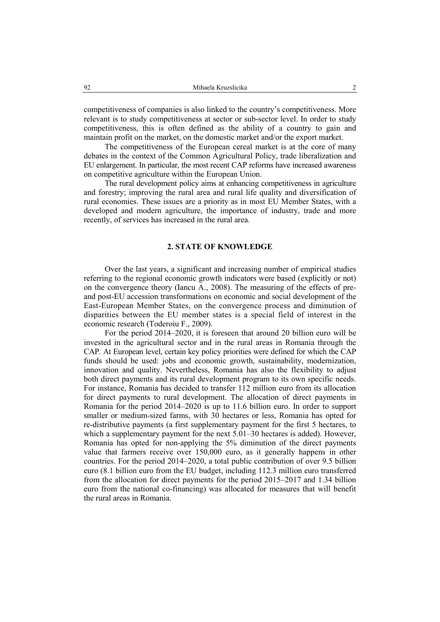competitiveness of companies is also linked to the country's competitiveness. More relevant is to study competitiveness at sector or sub-sector level. In order to study competitiveness, this is often defined as the ability of a country to gain and maintain profit on the market, on the domestic market and/or the export market.

The competitiveness of the European cereal market is at the core of many debates in the context of the Common Agricultural Policy, trade liberalization and EU enlargement. In particular, the most recent CAP reforms have increased awareness on competitive agriculture within the European Union.

The rural development policy aims at enhancing competitiveness in agriculture and forestry; improving the rural area and rural life quality and diversification of rural economies. These issues are a priority as in most EU Member States, with a developed and modern agriculture, the importance of industry, trade and more recently, of services has increased in the rural area.

### **2. STATE OF KNOWLEDGE**

Over the last years, a significant and increasing number of empirical studies referring to the regional economic growth indicators were based (explicitly or not) on the convergence theory (Iancu A., 2008). The measuring of the effects of preand post-EU accession transformations on economic and social development of the East-European Member States, on the convergence process and diminution of disparities between the EU member states is a special field of interest in the economic research (Toderoiu F., 2009).

For the period 2014–2020, it is foreseen that around 20 billion euro will be invested in the agricultural sector and in the rural areas in Romania through the CAP. At European level, certain key policy priorities were defined for which the CAP funds should be used: jobs and economic growth, sustainability, modernization, innovation and quality. Nevertheless, Romania has also the flexibility to adjust both direct payments and its rural development program to its own specific needs. For instance, Romania has decided to transfer 112 million euro from its allocation for direct payments to rural development. The allocation of direct payments in Romania for the period 2014–2020 is up to 11.6 billion euro. In order to support smaller or medium-sized farms, with 30 hectares or less, Romania has opted for re-distributive payments (a first supplementary payment for the first 5 hectares, to which a supplementary payment for the next 5.01–30 hectares is added). However, Romania has opted for non-applying the 5% diminution of the direct payments value that farmers receive over 150,000 euro, as it generally happens in other countries. For the period 2014–2020, a total public contribution of over 9.5 billion euro (8.1 billion euro from the EU budget, including 112.3 million euro transferred from the allocation for direct payments for the period 2015–2017 and 1.34 billion euro from the national co-financing) was allocated for measures that will benefit the rural areas in Romania.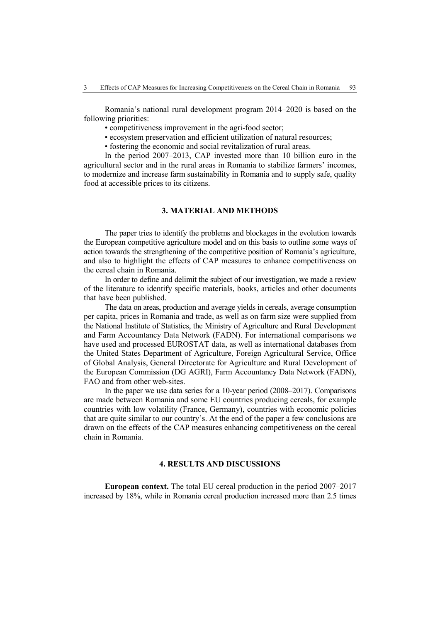Romania's national rural development program 2014–2020 is based on the following priorities:

- competitiveness improvement in the agri-food sector;
- ecosystem preservation and efficient utilization of natural resources;
- fostering the economic and social revitalization of rural areas.

In the period 2007–2013, CAP invested more than 10 billion euro in the agricultural sector and in the rural areas in Romania to stabilize farmers' incomes, to modernize and increase farm sustainability in Romania and to supply safe, quality food at accessible prices to its citizens.

## **3. MATERIAL AND METHODS**

The paper tries to identify the problems and blockages in the evolution towards the European competitive agriculture model and on this basis to outline some ways of action towards the strengthening of the competitive position of Romania's agriculture, and also to highlight the effects of CAP measures to enhance competitiveness on the cereal chain in Romania.

In order to define and delimit the subject of our investigation, we made a review of the literature to identify specific materials, books, articles and other documents that have been published.

The data on areas, production and average yields in cereals, average consumption per capita, prices in Romania and trade, as well as on farm size were supplied from the National Institute of Statistics, the Ministry of Agriculture and Rural Development and Farm Accountancy Data Network (FADN). For international comparisons we have used and processed EUROSTAT data, as well as international databases from the United States Department of Agriculture, Foreign Agricultural Service, Office of Global Analysis, General Directorate for Agriculture and Rural Development of the European Commission (DG AGRI), Farm Accountancy Data Network (FADN), FAO and from other web-sites.

In the paper we use data series for a 10-year period (2008–2017). Comparisons are made between Romania and some EU countries producing cereals, for example countries with low volatility (France, Germany), countries with economic policies that are quite similar to our country's. At the end of the paper a few conclusions are drawn on the effects of the CAP measures enhancing competitiveness on the cereal chain in Romania.

## **4. RESULTS AND DISCUSSIONS**

**European context.** The total EU cereal production in the period 2007–2017 increased by 18%, while in Romania cereal production increased more than 2.5 times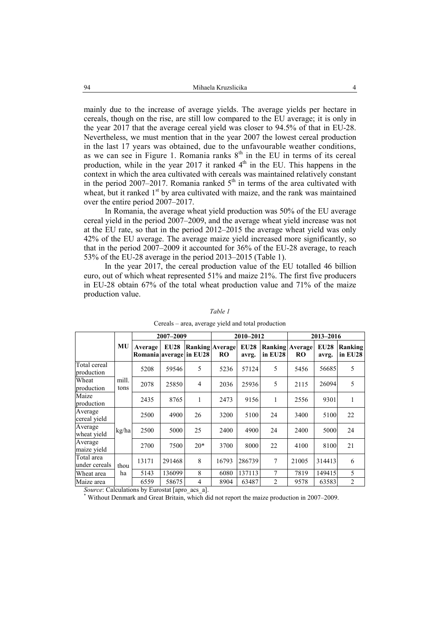mainly due to the increase of average yields. The average yields per hectare in cereals, though on the rise, are still low compared to the EU average; it is only in the year 2017 that the average cereal yield was closer to 94.5% of that in EU-28. Nevertheless, we must mention that in the year 2007 the lowest cereal production in the last 17 years was obtained, due to the unfavourable weather conditions, as we can see in Figure 1. Romania ranks  $8<sup>th</sup>$  in the EU in terms of its cereal production, while in the year 2017 it ranked  $4<sup>th</sup>$  in the EU. This happens in the context in which the area cultivated with cereals was maintained relatively constant in the period 2007–2017. Romania ranked  $5<sup>th</sup>$  in terms of the area cultivated with wheat, but it ranked  $1<sup>st</sup>$  by area cultivated with maize, and the rank was maintained over the entire period 2007–2017.

In Romania, the average wheat yield production was 50% of the EU average cereal yield in the period 2007–2009, and the average wheat yield increase was not at the EU rate, so that in the period 2012–2015 the average wheat yield was only 42% of the EU average. The average maize yield increased more significantly, so that in the period 2007–2009 it accounted for 36% of the EU-28 average, to reach 53% of the EU-28 average in the period 2013–2015 (Table 1).

In the year 2017, the cereal production value of the EU totalled 46 billion euro, out of which wheat represented 51% and maize 21%. The first five producers in EU-28 obtain 67% of the total wheat production value and 71% of the maize production value.

|                             |               | 2007-2009                                 |             |                        | 2010-2012 |                      |                                   | 2013-2016 |                      |                    |
|-----------------------------|---------------|-------------------------------------------|-------------|------------------------|-----------|----------------------|-----------------------------------|-----------|----------------------|--------------------|
|                             | MU            | <b>Average</b><br>Romania average in EU28 | <b>EU28</b> | <b>Ranking Average</b> | <b>RO</b> | <b>EU28</b><br>avrg. | <b>Ranking Average</b><br>in EU28 | <b>RO</b> | <b>EU28</b><br>avrg. | Ranking<br>in EU28 |
| Total cereal<br>production  | mill.<br>tons | 5208                                      | 59546       | 5                      | 5236      | 57124                | 5                                 | 5456      | 56685                | 5                  |
| Wheat<br>production         |               | 2078                                      | 25850       | 4                      | 2036      | 25936                | 5                                 | 2115      | 26094                | 5                  |
| Maize<br>production         |               | 2435                                      | 8765        | 1                      | 2473      | 9156                 | 1                                 | 2556      | 9301                 | 1                  |
| Average<br>cereal yield     | kg/ha         | 2500                                      | 4900        | 26                     | 3200      | 5100                 | 24                                | 3400      | 5100                 | 22                 |
| Average<br>wheat yield      |               | 2500                                      | 5000        | 25                     | 2400      | 4900                 | 24                                | 2400      | 5000                 | 24                 |
| Average<br>maize vield      |               | 2700                                      | 7500        | $20*$                  | 3700      | 8000                 | 22                                | 4100      | 8100                 | 21                 |
| Total area<br>under cereals | thou<br>ha    | 13171                                     | 291468      | 8                      | 16793     | 286739               | 7                                 | 21005     | 314413               | 6                  |
| Wheat area                  |               | 5143                                      | 136099      | 8                      | 6080      | 137113               | 7                                 | 7819      | 149415               | 5                  |
| Maize area                  |               | 6559                                      | 58675       | 4                      | 8904      | 63487                | $\overline{2}$                    | 9578      | 63583                | $\overline{2}$     |

*Table 1* 

Cereals – area, average yield and total production

*Source*: Calculations by Eurostat [apro\_acs\_a].

Without Denmark and Great Britain, which did not report the maize production in 2007–2009.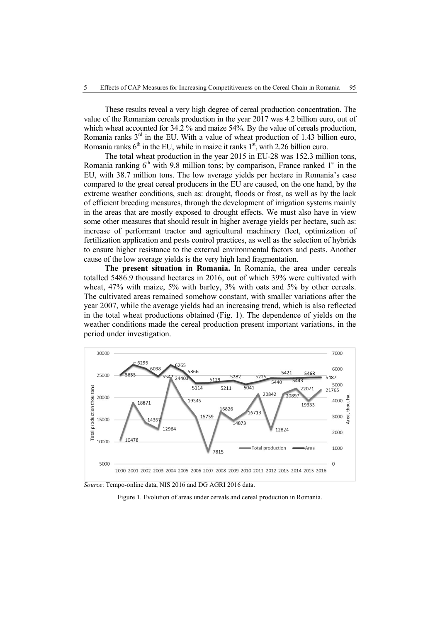These results reveal a very high degree of cereal production concentration. The value of the Romanian cereals production in the year 2017 was 4.2 billion euro, out of which wheat accounted for 34.2 % and maize 54%. By the value of cereals production, Romania ranks 3<sup>rd</sup> in the EU. With a value of wheat production of 1.43 billion euro, Romania ranks  $6<sup>th</sup>$  in the EU, while in maize it ranks  $1<sup>st</sup>$ , with 2.26 billion euro.

The total wheat production in the year 2015 in EU-28 was 152.3 million tons, Romania ranking  $6<sup>th</sup>$  with 9.8 million tons; by comparison, France ranked  $1<sup>st</sup>$  in the EU, with 38.7 million tons. The low average yields per hectare in Romania's case compared to the great cereal producers in the EU are caused, on the one hand, by the extreme weather conditions, such as: drought, floods or frost, as well as by the lack of efficient breeding measures, through the development of irrigation systems mainly in the areas that are mostly exposed to drought effects. We must also have in view some other measures that should result in higher average yields per hectare, such as: increase of performant tractor and agricultural machinery fleet, optimization of fertilization application and pests control practices, as well as the selection of hybrids to ensure higher resistance to the external environmental factors and pests. Another cause of the low average yields is the very high land fragmentation.

**The present situation in Romania.** In Romania, the area under cereals totalled 5486.9 thousand hectares in 2016, out of which 39% were cultivated with wheat, 47% with maize, 5% with barley, 3% with oats and 5% by other cereals. The cultivated areas remained somehow constant, with smaller variations after the year 2007, while the average yields had an increasing trend, which is also reflected in the total wheat productions obtained (Fig. 1). The dependence of yields on the weather conditions made the cereal production present important variations, in the period under investigation.



*Source*: Tempo-online data, NIS 2016 and DG AGRI 2016 data.

Figure 1. Evolution of areas under cereals and cereal production in Romania.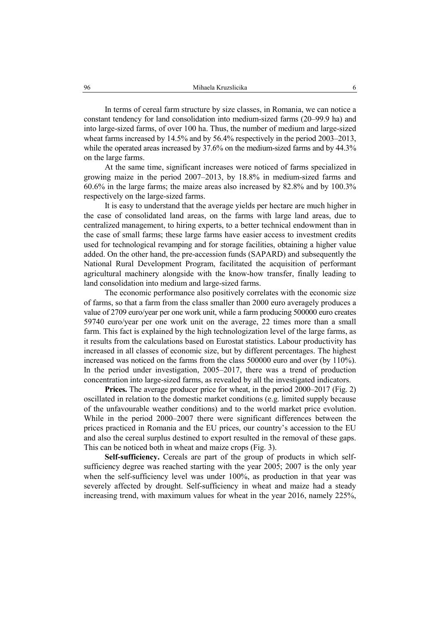In terms of cereal farm structure by size classes, in Romania, we can notice a constant tendency for land consolidation into medium-sized farms (20–99.9 ha) and into large-sized farms, of over 100 ha. Thus, the number of medium and large-sized wheat farms increased by 14.5% and by 56.4% respectively in the period 2003–2013, while the operated areas increased by 37.6% on the medium-sized farms and by 44.3% on the large farms.

At the same time, significant increases were noticed of farms specialized in growing maize in the period 2007–2013, by 18.8% in medium-sized farms and 60.6% in the large farms; the maize areas also increased by 82.8% and by 100.3% respectively on the large-sized farms.

It is easy to understand that the average yields per hectare are much higher in the case of consolidated land areas, on the farms with large land areas, due to centralized management, to hiring experts, to a better technical endowment than in the case of small farms; these large farms have easier access to investment credits used for technological revamping and for storage facilities, obtaining a higher value added. On the other hand, the pre-accession funds (SAPARD) and subsequently the National Rural Development Program, facilitated the acquisition of performant agricultural machinery alongside with the know-how transfer, finally leading to land consolidation into medium and large-sized farms.

The economic performance also positively correlates with the economic size of farms, so that a farm from the class smaller than 2000 euro averagely produces a value of 2709 euro/year per one work unit, while a farm producing 500000 euro creates 59740 euro/year per one work unit on the average, 22 times more than a small farm. This fact is explained by the high technologization level of the large farms, as it results from the calculations based on Eurostat statistics. Labour productivity has increased in all classes of economic size, but by different percentages. The highest increased was noticed on the farms from the class 500000 euro and over (by 110%). In the period under investigation, 2005–2017, there was a trend of production concentration into large-sized farms, as revealed by all the investigated indicators.

**Prices.** The average producer price for wheat, in the period 2000–2017 (Fig. 2) oscillated in relation to the domestic market conditions (e.g. limited supply because of the unfavourable weather conditions) and to the world market price evolution. While in the period 2000–2007 there were significant differences between the prices practiced in Romania and the EU prices, our country's accession to the EU and also the cereal surplus destined to export resulted in the removal of these gaps. This can be noticed both in wheat and maize crops (Fig. 3).

**Self-sufficiency.** Cereals are part of the group of products in which selfsufficiency degree was reached starting with the year 2005; 2007 is the only year when the self-sufficiency level was under 100%, as production in that year was severely affected by drought. Self-sufficiency in wheat and maize had a steady increasing trend, with maximum values for wheat in the year 2016, namely 225%,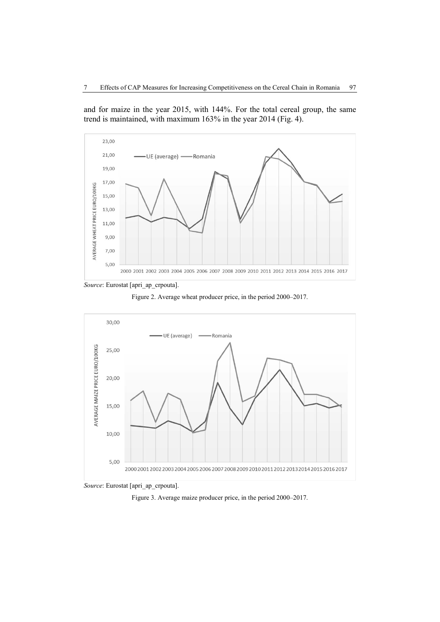and for maize in the year 2015, with 144%. For the total cereal group, the same trend is maintained, with maximum 163% in the year 2014 (Fig. 4).



*Source*: Eurostat [apri\_ap\_crpouta].





*Source*: Eurostat [apri\_ap\_crpouta].

Figure 3. Average maize producer price, in the period 2000–2017.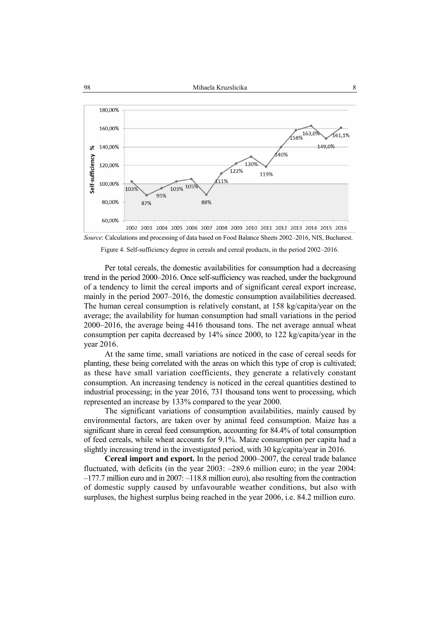



Figure 4. Self-sufficiency degree in cereals and cereal products, in the period 2002–2016.

Per total cereals, the domestic availabilities for consumption had a decreasing trend in the period 2000–2016. Once self-sufficiency was reached, under the background of a tendency to limit the cereal imports and of significant cereal export increase, mainly in the period 2007–2016, the domestic consumption availabilities decreased. The human cereal consumption is relatively constant, at 158 kg/capita/year on the average; the availability for human consumption had small variations in the period 2000–2016, the average being 4416 thousand tons. The net average annual wheat consumption per capita decreased by 14% since 2000, to 122 kg/capita/year in the year 2016.

At the same time, small variations are noticed in the case of cereal seeds for planting, these being correlated with the areas on which this type of crop is cultivated; as these have small variation coefficients, they generate a relatively constant consumption. An increasing tendency is noticed in the cereal quantities destined to industrial processing; in the year 2016, 731 thousand tons went to processing, which represented an increase by 133% compared to the year 2000.

The significant variations of consumption availabilities, mainly caused by environmental factors, are taken over by animal feed consumption. Maize has a significant share in cereal feed consumption, accounting for 84.4% of total consumption of feed cereals, while wheat accounts for 9.1%. Maize consumption per capita had a slightly increasing trend in the investigated period, with 30 kg/capita/year in 2016.

**Cereal import and export.** In the period 2000–2007, the cereal trade balance fluctuated, with deficits (in the year 2003: –289.6 million euro; in the year 2004: –177.7 million euro and in 2007: –118.8 million euro), also resulting from the contraction of domestic supply caused by unfavourable weather conditions, but also with surpluses, the highest surplus being reached in the year 2006, i.e. 84.2 million euro.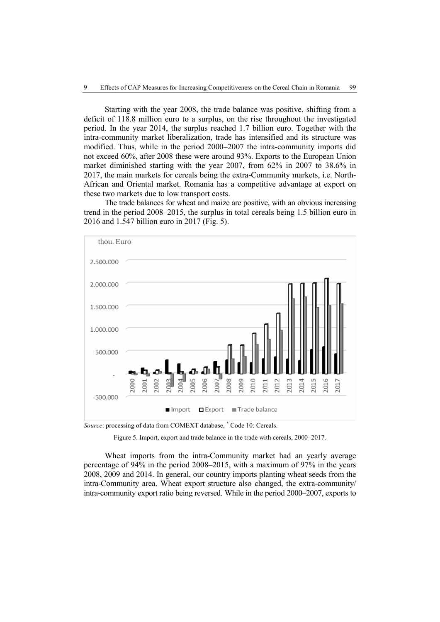Starting with the year 2008, the trade balance was positive, shifting from a deficit of 118.8 million euro to a surplus, on the rise throughout the investigated period. In the year 2014, the surplus reached 1.7 billion euro. Together with the intra-community market liberalization, trade has intensified and its structure was modified. Thus, while in the period 2000–2007 the intra-community imports did not exceed 60%, after 2008 these were around 93%. Exports to the European Union market diminished starting with the year 2007, from 62% in 2007 to 38.6% in 2017, the main markets for cereals being the extra-Community markets, i.e. North-African and Oriental market. Romania has a competitive advantage at export on these two markets due to low transport costs.

The trade balances for wheat and maize are positive, with an obvious increasing trend in the period 2008–2015, the surplus in total cereals being 1.5 billion euro in 2016 and 1.547 billion euro in 2017 (Fig. 5).



Source: processing of data from COMEXT database, \* Code 10: Cereals.

Wheat imports from the intra-Community market had an yearly average percentage of 94% in the period 2008–2015, with a maximum of 97% in the years 2008, 2009 and 2014. In general, our country imports planting wheat seeds from the intra-Community area. Wheat export structure also changed, the extra-community/ intra-community export ratio being reversed. While in the period 2000–2007, exports to

Figure 5. Import, export and trade balance in the trade with cereals, 2000–2017.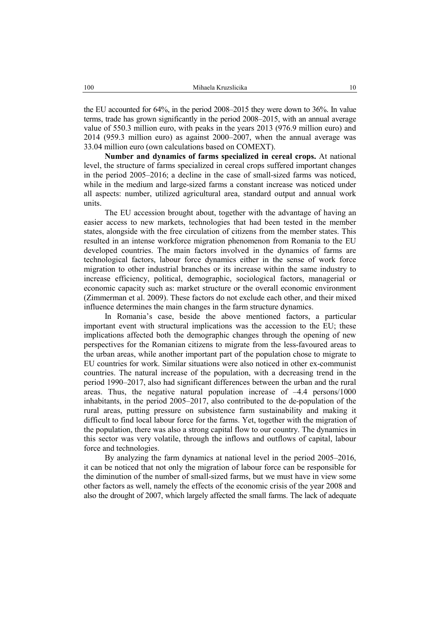the EU accounted for 64%, in the period 2008–2015 they were down to 36%. In value terms, trade has grown significantly in the period 2008–2015, with an annual average value of 550.3 million euro, with peaks in the years 2013 (976.9 million euro) and 2014 (959.3 million euro) as against 2000–2007, when the annual average was 33.04 million euro (own calculations based on COMEXT).

**Number and dynamics of farms specialized in cereal crops.** At national level, the structure of farms specialized in cereal crops suffered important changes in the period 2005–2016; a decline in the case of small-sized farms was noticed, while in the medium and large-sized farms a constant increase was noticed under all aspects: number, utilized agricultural area, standard output and annual work units.

The EU accession brought about, together with the advantage of having an easier access to new markets, technologies that had been tested in the member states, alongside with the free circulation of citizens from the member states. This resulted in an intense workforce migration phenomenon from Romania to the EU developed countries. The main factors involved in the dynamics of farms are technological factors, labour force dynamics either in the sense of work force migration to other industrial branches or its increase within the same industry to increase efficiency, political, demographic, sociological factors, managerial or economic capacity such as: market structure or the overall economic environment (Zimmerman et al. 2009). These factors do not exclude each other, and their mixed influence determines the main changes in the farm structure dynamics.

In Romania's case, beside the above mentioned factors, a particular important event with structural implications was the accession to the EU; these implications affected both the demographic changes through the opening of new perspectives for the Romanian citizens to migrate from the less-favoured areas to the urban areas, while another important part of the population chose to migrate to EU countries for work. Similar situations were also noticed in other ex-communist countries. The natural increase of the population, with a decreasing trend in the period 1990–2017, also had significant differences between the urban and the rural areas. Thus, the negative natural population increase of  $-4.4$  persons/1000 inhabitants, in the period 2005–2017, also contributed to the de-population of the rural areas, putting pressure on subsistence farm sustainability and making it difficult to find local labour force for the farms. Yet, together with the migration of the population, there was also a strong capital flow to our country. The dynamics in this sector was very volatile, through the inflows and outflows of capital, labour force and technologies.

By analyzing the farm dynamics at national level in the period 2005–2016, it can be noticed that not only the migration of labour force can be responsible for the diminution of the number of small-sized farms, but we must have in view some other factors as well, namely the effects of the economic crisis of the year 2008 and also the drought of 2007, which largely affected the small farms. The lack of adequate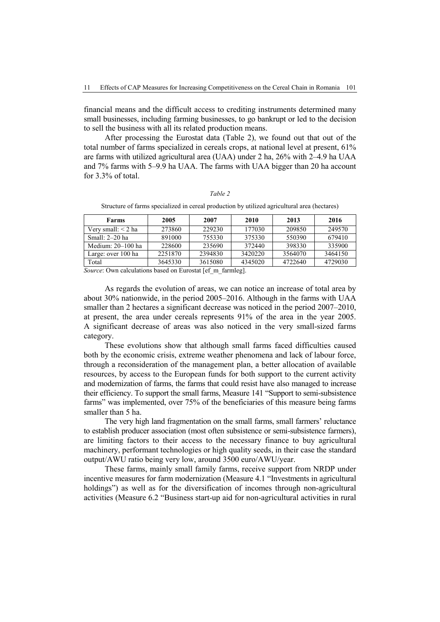financial means and the difficult access to crediting instruments determined many small businesses, including farming businesses, to go bankrupt or led to the decision to sell the business with all its related production means.

After processing the Eurostat data (Table 2), we found out that out of the total number of farms specialized in cereals crops, at national level at present, 61% are farms with utilized agricultural area (UAA) under 2 ha, 26% with 2–4.9 ha UAA and 7% farms with 5–9.9 ha UAA. The farms with UAA bigger than 20 ha account for 3.3% of total.

#### *Table 2*

Structure of farms specialized in cereal production by utilized agricultural area (hectares)

| <b>Farms</b>         | 2005    | 2007    | 2010    | 2013    | 2016    |
|----------------------|---------|---------|---------|---------|---------|
| Very small: $<$ 2 ha | 273860  | 229230  | 177030  | 209850  | 249570  |
| Small: $2-20$ ha     | 891000  | 755330  | 375330  | 550390  | 679410  |
| Medium: $20-100$ ha  | 228600  | 235690  | 372440  | 398330  | 335900  |
| Large: over 100 ha   | 2251870 | 2394830 | 3420220 | 3564070 | 3464150 |
| Total                | 3645330 | 3615080 | 4345020 | 4722640 | 4729030 |

Source: Own calculations based on Eurostat [ef m farmleg].

As regards the evolution of areas, we can notice an increase of total area by about 30% nationwide, in the period 2005–2016. Although in the farms with UAA smaller than 2 hectares a significant decrease was noticed in the period 2007–2010, at present, the area under cereals represents 91% of the area in the year 2005. A significant decrease of areas was also noticed in the very small-sized farms category.

These evolutions show that although small farms faced difficulties caused both by the economic crisis, extreme weather phenomena and lack of labour force, through a reconsideration of the management plan, a better allocation of available resources, by access to the European funds for both support to the current activity and modernization of farms, the farms that could resist have also managed to increase their efficiency. To support the small farms, Measure 141 "Support to semi-subsistence farms" was implemented, over 75% of the beneficiaries of this measure being farms smaller than 5 ha.

The very high land fragmentation on the small farms, small farmers' reluctance to establish producer association (most often subsistence or semi-subsistence farmers), are limiting factors to their access to the necessary finance to buy agricultural machinery, performant technologies or high quality seeds, in their case the standard output/AWU ratio being very low, around 3500 euro/AWU/year.

These farms, mainly small family farms, receive support from NRDP under incentive measures for farm modernization (Measure 4.1 "Investments in agricultural holdings") as well as for the diversification of incomes through non-agricultural activities (Measure 6.2 "Business start-up aid for non-agricultural activities in rural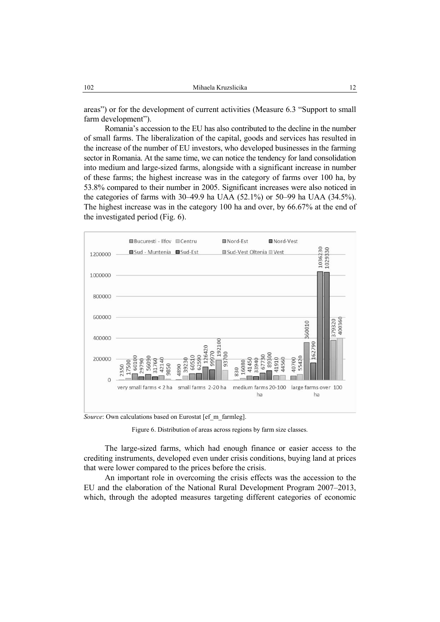areas") or for the development of current activities (Measure 6.3 "Support to small farm development").

Romania's accession to the EU has also contributed to the decline in the number of small farms. The liberalization of the capital, goods and services has resulted in the increase of the number of EU investors, who developed businesses in the farming sector in Romania. At the same time, we can notice the tendency for land consolidation into medium and large-sized farms, alongside with a significant increase in number of these farms; the highest increase was in the category of farms over 100 ha, by 53.8% compared to their number in 2005. Significant increases were also noticed in the categories of farms with 30–49.9 ha UAA (52.1%) or 50–99 ha UAA (34.5%). The highest increase was in the category 100 ha and over, by 66.67% at the end of the investigated period (Fig. 6).



*Source*: Own calculations based on Eurostat [ef\_m\_farmleg].

Figure 6. Distribution of areas across regions by farm size classes.

The large-sized farms, which had enough finance or easier access to the crediting instruments, developed even under crisis conditions, buying land at prices that were lower compared to the prices before the crisis.

An important role in overcoming the crisis effects was the accession to the EU and the elaboration of the National Rural Development Program 2007–2013, which, through the adopted measures targeting different categories of economic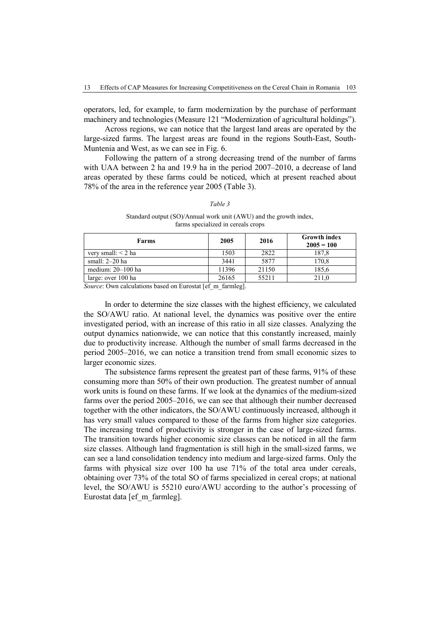operators, led, for example, to farm modernization by the purchase of performant machinery and technologies (Measure 121 "Modernization of agricultural holdings").

Across regions, we can notice that the largest land areas are operated by the large-sized farms. The largest areas are found in the regions South-East, South-Muntenia and West, as we can see in Fig. 6.

Following the pattern of a strong decreasing trend of the number of farms with UAA between 2 ha and 19.9 ha in the period 2007–2010, a decrease of land areas operated by these farms could be noticed, which at present reached about 78% of the area in the reference year 2005 (Table 3).

# Standard output (SO)/Annual work unit (AWU) and the growth index, farms specialized in cereals crops

*Table 3* 

| Farms                   | 2005  | 2016  | <b>Growth index</b><br>$2005 = 100$ |
|-------------------------|-------|-------|-------------------------------------|
| very small: $\leq$ 2 ha | 1503  | 2822  | 187,8                               |
| small: $2-20$ ha        | 3441  | 5877  | 170,8                               |
| medium: $20-100$ ha     | 11396 | 21150 | 185,6                               |
| large: over 100 ha      | 26165 | 55211 | 211.0                               |

*Source*: Own calculations based on Eurostat [ef m farmleg].

In order to determine the size classes with the highest efficiency, we calculated the SO/AWU ratio. At national level, the dynamics was positive over the entire investigated period, with an increase of this ratio in all size classes. Analyzing the output dynamics nationwide, we can notice that this constantly increased, mainly due to productivity increase. Although the number of small farms decreased in the period 2005–2016, we can notice a transition trend from small economic sizes to larger economic sizes.

The subsistence farms represent the greatest part of these farms, 91% of these consuming more than 50% of their own production. The greatest number of annual work units is found on these farms. If we look at the dynamics of the medium-sized farms over the period 2005–2016, we can see that although their number decreased together with the other indicators, the SO/AWU continuously increased, although it has very small values compared to those of the farms from higher size categories. The increasing trend of productivity is stronger in the case of large-sized farms. The transition towards higher economic size classes can be noticed in all the farm size classes. Although land fragmentation is still high in the small-sized farms, we can see a land consolidation tendency into medium and large-sized farms. Only the farms with physical size over 100 ha use 71% of the total area under cereals, obtaining over 73% of the total SO of farms specialized in cereal crops; at national level, the SO/AWU is 55210 euro/AWU according to the author's processing of Eurostat data [ef m farmleg].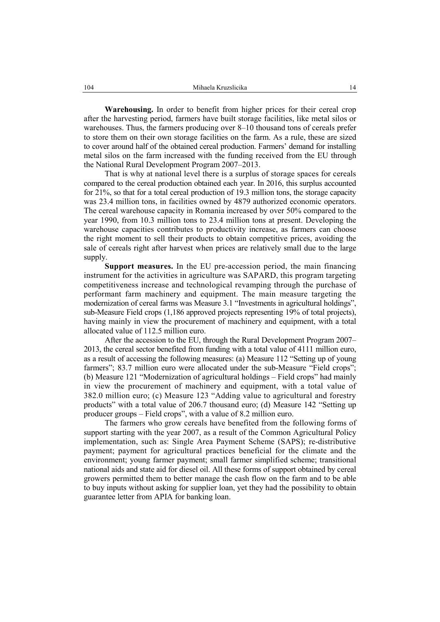**Warehousing.** In order to benefit from higher prices for their cereal crop after the harvesting period, farmers have built storage facilities, like metal silos or warehouses. Thus, the farmers producing over 8–10 thousand tons of cereals prefer to store them on their own storage facilities on the farm. As a rule, these are sized to cover around half of the obtained cereal production. Farmers' demand for installing metal silos on the farm increased with the funding received from the EU through the National Rural Development Program 2007–2013.

That is why at national level there is a surplus of storage spaces for cereals compared to the cereal production obtained each year. In 2016, this surplus accounted for 21%, so that for a total cereal production of 19.3 million tons, the storage capacity was 23.4 million tons, in facilities owned by 4879 authorized economic operators. The cereal warehouse capacity in Romania increased by over 50% compared to the year 1990, from 10.3 million tons to 23.4 million tons at present. Developing the warehouse capacities contributes to productivity increase, as farmers can choose the right moment to sell their products to obtain competitive prices, avoiding the sale of cereals right after harvest when prices are relatively small due to the large supply.

**Support measures.** In the EU pre-accession period, the main financing instrument for the activities in agriculture was SAPARD, this program targeting competitiveness increase and technological revamping through the purchase of performant farm machinery and equipment. The main measure targeting the modernization of cereal farms was Measure 3.1 "Investments in agricultural holdings", sub-Measure Field crops (1,186 approved projects representing 19% of total projects), having mainly in view the procurement of machinery and equipment, with a total allocated value of 112.5 million euro.

After the accession to the EU, through the Rural Development Program 2007– 2013, the cereal sector benefited from funding with a total value of 4111 million euro, as a result of accessing the following measures: (a) Measure 112 "Setting up of young farmers"; 83.7 million euro were allocated under the sub-Measure "Field crops"; (b) Measure 121 "Modernization of agricultural holdings – Field crops" had mainly in view the procurement of machinery and equipment, with a total value of 382.0 million euro; (c) Measure 123 "Adding value to agricultural and forestry products" with a total value of 206.7 thousand euro; (d) Measure 142 "Setting up producer groups – Field crops", with a value of 8.2 million euro.

The farmers who grow cereals have benefited from the following forms of support starting with the year 2007, as a result of the Common Agricultural Policy implementation, such as: Single Area Payment Scheme (SAPS); re-distributive payment; payment for agricultural practices beneficial for the climate and the environment; young farmer payment; small farmer simplified scheme; transitional national aids and state aid for diesel oil. All these forms of support obtained by cereal growers permitted them to better manage the cash flow on the farm and to be able to buy inputs without asking for supplier loan, yet they had the possibility to obtain guarantee letter from APIA for banking loan.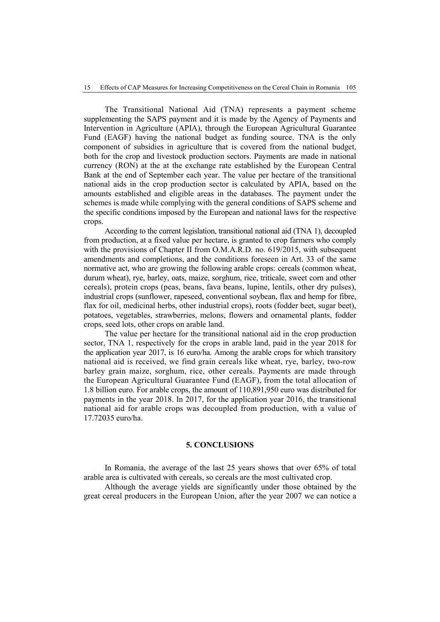The Transitional National Aid (TNA) represents a payment scheme supplementing the SAPS payment and it is made by the Agency of Payments and Intervention in Agriculture (APIA), through the European Agricultural Guarantee Fund (EAGF) having the national budget as funding source. TNA is the only component of subsidies in agriculture that is covered from the national budget, both for the crop and livestock production sectors. Payments are made in national currency (RON) at the at the exchange rate established by the European Central Bank at the end of September each year. The value per hectare of the transitional national aids in the crop production sector is calculated by APIA, based on the amounts established and eligible areas in the databases. The payment under the schemes is made while complying with the general conditions of SAPS scheme and the specific conditions imposed by the European and national laws for the respective crops.

According to the current legislation, transitional national aid (TNA 1), decoupled from production, at a fixed value per hectare, is granted to crop farmers who comply with the provisions of Chapter II from O.M.A.R.D. no. 619/2015, with subsequent amendments and completions, and the conditions foreseen in Art. 33 of the same normative act, who are growing the following arable crops: cereals (common wheat, durum wheat), rye, barley, oats, maize, sorghum, rice, triticale, sweet corn and other cereals), protein crops (peas, beans, fava beans, lupine, lentils, other dry pulses), industrial crops (sunflower, rapeseed, conventional soybean, flax and hemp for fibre, flax for oil, medicinal herbs, other industrial crops), roots (fodder beet, sugar beet), potatoes, vegetables, strawberries, melons, flowers and ornamental plants, fodder crops, seed lots, other crops on arable land.

The value per hectare for the transitional national aid in the crop production sector, TNA 1, respectively for the crops in arable land, paid in the year 2018 for the application year 2017, is 16 euro/ha. Among the arable crops for which transitory national aid is received, we find grain cereals like wheat, rye, barley, two-row barley grain maize, sorghum, rice, other cereals. Payments are made through the European Agricultural Guarantee Fund (EAGF), from the total allocation of 1.8 billion euro. For arable crops, the amount of 110,891,950 euro was distributed for payments in the year 2018. In 2017, for the application year 2016, the transitional national aid for arable crops was decoupled from production, with a value of 17.72035 euro/ha.

#### **5. CONCLUSIONS**

In Romania, the average of the last 25 years shows that over 65% of total arable area is cultivated with cereals, so cereals are the most cultivated crop.

Although the average yields are significantly under those obtained by the great cereal producers in the European Union, after the year 2007 we can notice a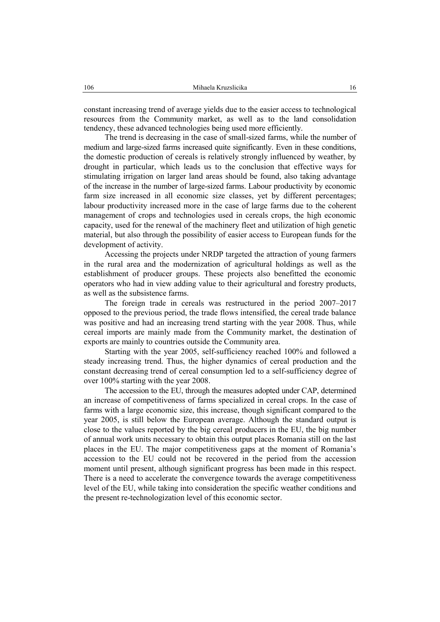constant increasing trend of average yields due to the easier access to technological resources from the Community market, as well as to the land consolidation tendency, these advanced technologies being used more efficiently.

The trend is decreasing in the case of small-sized farms, while the number of medium and large-sized farms increased quite significantly. Even in these conditions, the domestic production of cereals is relatively strongly influenced by weather, by drought in particular, which leads us to the conclusion that effective ways for stimulating irrigation on larger land areas should be found, also taking advantage of the increase in the number of large-sized farms. Labour productivity by economic farm size increased in all economic size classes, yet by different percentages; labour productivity increased more in the case of large farms due to the coherent management of crops and technologies used in cereals crops, the high economic capacity, used for the renewal of the machinery fleet and utilization of high genetic material, but also through the possibility of easier access to European funds for the development of activity.

Accessing the projects under NRDP targeted the attraction of young farmers in the rural area and the modernization of agricultural holdings as well as the establishment of producer groups. These projects also benefitted the economic operators who had in view adding value to their agricultural and forestry products, as well as the subsistence farms.

The foreign trade in cereals was restructured in the period 2007–2017 opposed to the previous period, the trade flows intensified, the cereal trade balance was positive and had an increasing trend starting with the year 2008. Thus, while cereal imports are mainly made from the Community market, the destination of exports are mainly to countries outside the Community area.

Starting with the year 2005, self-sufficiency reached 100% and followed a steady increasing trend. Thus, the higher dynamics of cereal production and the constant decreasing trend of cereal consumption led to a self-sufficiency degree of over 100% starting with the year 2008.

The accession to the EU, through the measures adopted under CAP, determined an increase of competitiveness of farms specialized in cereal crops. In the case of farms with a large economic size, this increase, though significant compared to the year 2005, is still below the European average. Although the standard output is close to the values reported by the big cereal producers in the EU, the big number of annual work units necessary to obtain this output places Romania still on the last places in the EU. The major competitiveness gaps at the moment of Romania's accession to the EU could not be recovered in the period from the accession moment until present, although significant progress has been made in this respect. There is a need to accelerate the convergence towards the average competitiveness level of the EU, while taking into consideration the specific weather conditions and the present re-technologization level of this economic sector.